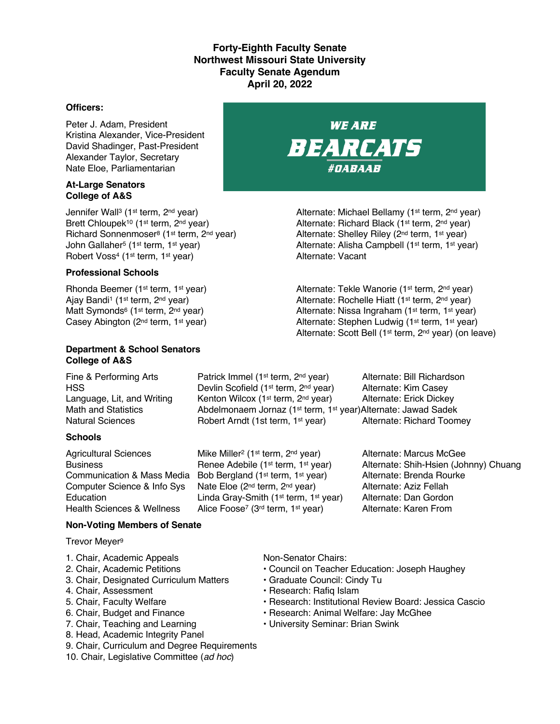### **Forty-Eighth Faculty Senate Northwest Missouri State University Faculty Senate Agendum April 20, 2022**

#### **Officers:**

Peter J. Adam, President Kristina Alexander, Vice-President David Shadinger, Past-President Alexander Taylor, Secretary Nate Eloe, Parliamentarian

#### **At-Large Senators College of A&S**

Jennifer Wall<sup>3</sup> (1<sup>st</sup> term, 2<sup>nd</sup> year) Alternate: Michael Bellamy (1<sup>st</sup> term, 2<sup>nd</sup> year) Robert Voss<sup>4</sup> (1<sup>st</sup> term, 1<sup>st</sup> year)

#### **Professional Schools**

#### **Department & School Senators College of A&S**

Language, Lit, and Writing Kenton Wilcox (1<sup>st</sup> term, 2<sup>nd</sup> year) Alternate: Erick Dickey Math and Statistics **Abdelmonaem Jornaz (1st term, 1st year)Alternate: Jawad Sadek** 

#### **Schools**

# Natural Sciences **Robert Arndt (1st term, 1st year)** Alternate: Richard Toomey Agricultural Sciences Mike Miller<sup>2</sup> (1<sup>st</sup> term, 2<sup>nd</sup> year) Alternate: Marcus McGee Business **Renee Adebile (1st term, 1st year)** Alternate: Shih-Hsien (Johnny) Chuang

Communication & Mass Media Bob Bergland (1st term, 1st year) Alternate: Brenda Rourke Computer Science & Info Sys Nate Eloe (2<sup>nd</sup> term, 2<sup>nd</sup> year) Alternate: Aziz Fellah<br>Education Linda Grav-Smith (1<sup>st</sup> term, 1<sup>st</sup> year) Alternate: Dan Gordon Education Linda Gray-Smith (1<sup>st</sup> term, 1<sup>st</sup> year) Alternate: Dan Gordon<br>Health Sciences & Wellness Alice Foose<sup>7</sup> (3<sup>rd</sup> term, 1<sup>st</sup> year) Alternate: Karen From Alice Foose<sup>7</sup> (3<sup>rd</sup> term, 1<sup>st</sup> year)

Fine & Performing Arts **Patrick Immel (1st term, 2nd year)** Alternate: Bill Richardson HSS **EXECUTE:** Devlin Scofield (1<sup>st</sup> term, 2<sup>nd</sup> year) Alternate: Kim Casey

#### **Non-Voting Members of Senate**

Trevor Meyer9

- 1. Chair, Academic Appeals Non-Senator Chairs:
- 
- 3. Chair, Designated Curriculum Matters Graduate Council: Cindy Tu
- 4. Chair, Assessment **Francisco Exercise Research: Rafiq Islam**
- 
- 
- 
- 8. Head, Academic Integrity Panel
- 9. Chair, Curriculum and Degree Requirements
- 10. Chair, Legislative Committee (*ad hoc*)

- 2. Chair, Academic Petitions Council on Teacher Education: Joseph Haughey
	-
	-
- 5. Chair, Faculty Welfare The State of Pessarch: Institutional Review Board: Jessica Cascio
- 6. Chair, Budget and Finance  **Research: Animal Welfare: Jay McGhee**
- 7. Chair, Teaching and Learning  **University Seminar: Brian Swink**



Brett Chloupek<sup>10</sup> (1<sup>st</sup> term, 2<sup>nd</sup> year) Alternate: Richard Black (1<sup>st</sup> term, 2<sup>nd</sup> year) Richard Sonnenmoser<sup>8</sup> (1<sup>st</sup> term, 2<sup>nd</sup> year) Alternate: Shelley Riley (2<sup>nd</sup> term, 1<sup>st</sup> year) John Gallaher<sup>5</sup> (1st term, 1st year) Alternate: Alisha Campbell (1st term, 1st year)<br>
Alternate: Vacant<br>
Alternate: Vacant

Rhonda Beemer (1<sup>st</sup> term, 1<sup>st</sup> year) Alternate: Tekle Wanorie (1<sup>st</sup> term, 2<sup>nd</sup> year) Ajay Bandi<sup>1</sup> (1<sup>st</sup> term, 2<sup>nd</sup> year) Alternate: Rochelle Hiatt (1<sup>st</sup> term, 2<sup>nd</sup> year) Matt Symonds<sup>6</sup> (1<sup>st</sup> term, 2<sup>nd</sup> year) Alternate: Nissa Ingraham (1<sup>st</sup> term, 1<sup>st</sup> year) Casey Abington (2<sup>nd</sup> term, 1<sup>st</sup> year) Alternate: Stephen Ludwig (1<sup>st</sup> term, 1<sup>st</sup> year) Alternate: Scott Bell (1st term, 2nd year) (on leave)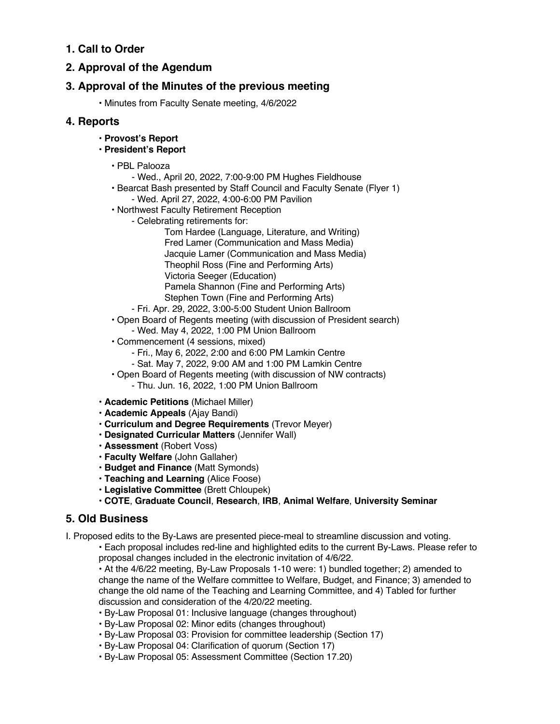## **1. Call to Order**

## **2. Approval of the Agendum**

## **3. Approval of the Minutes of the previous meeting**

• Minutes from Faculty Senate meeting, 4/6/2022

### **4. Reports**

- **Provost's Report**
- **President's Report**
	- PBL Palooza
		- Wed., April 20, 2022, 7:00-9:00 PM Hughes Fieldhouse
	- Bearcat Bash presented by Staff Council and Faculty Senate (Flyer 1) - Wed. April 27, 2022, 4:00-6:00 PM Pavilion
	- Northwest Faculty Retirement Reception
		- Celebrating retirements for:
			- Tom Hardee (Language, Literature, and Writing) Fred Lamer (Communication and Mass Media) Jacquie Lamer (Communication and Mass Media) Theophil Ross (Fine and Performing Arts) Victoria Seeger (Education) Pamela Shannon (Fine and Performing Arts) Stephen Town (Fine and Performing Arts)
		- Fri. Apr. 29, 2022, 3:00-5:00 Student Union Ballroom
	- Open Board of Regents meeting (with discussion of President search) - Wed. May 4, 2022, 1:00 PM Union Ballroom
	- Commencement (4 sessions, mixed)
		- Fri., May 6, 2022, 2:00 and 6:00 PM Lamkin Centre
		- Sat. May 7, 2022, 9:00 AM and 1:00 PM Lamkin Centre
	- Open Board of Regents meeting (with discussion of NW contracts)
		- Thu. Jun. 16, 2022, 1:00 PM Union Ballroom
- **Academic Petitions** (Michael Miller)
- **Academic Appeals** (Ajay Bandi)
- **Curriculum and Degree Requirements** (Trevor Meyer)
- **Designated Curricular Matters** (Jennifer Wall)
- **Assessment** (Robert Voss)
- **Faculty Welfare** (John Gallaher)
- **Budget and Finance** (Matt Symonds)
- **Teaching and Learning** (Alice Foose)
- **Legislative Committee** (Brett Chloupek)
- **COTE**, **Graduate Council**, **Research**, **IRB**, **Animal Welfare**, **University Seminar**

## **5. Old Business**

I. Proposed edits to the By-Laws are presented piece-meal to streamline discussion and voting.

• Each proposal includes red-line and highlighted edits to the current By-Laws. Please refer to proposal changes included in the electronic invitation of 4/6/22.

• At the 4/6/22 meeting, By-Law Proposals 1-10 were: 1) bundled together; 2) amended to change the name of the Welfare committee to Welfare, Budget, and Finance; 3) amended to change the old name of the Teaching and Learning Committee, and 4) Tabled for further discussion and consideration of the 4/20/22 meeting.

- By-Law Proposal 01: Inclusive language (changes throughout)
- By-Law Proposal 02: Minor edits (changes throughout)
- By-Law Proposal 03: Provision for committee leadership (Section 17)
- By-Law Proposal 04: Clarification of quorum (Section 17)
- By-Law Proposal 05: Assessment Committee (Section 17.20)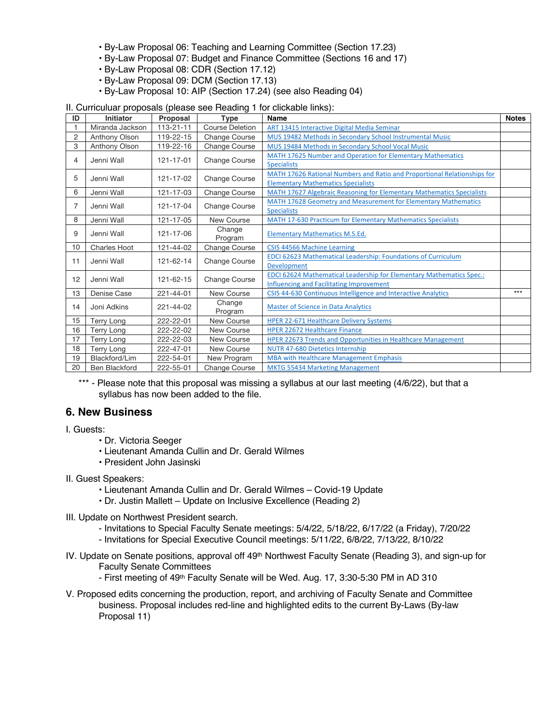- By-Law Proposal 06: Teaching and Learning Committee (Section 17.23)
- By-Law Proposal 07: Budget and Finance Committee (Sections 16 and 17)
- By-Law Proposal 08: CDR (Section 17.12)
- By-Law Proposal 09: DCM (Section 17.13)
- By-Law Proposal 10: AIP (Section 17.24) (see also Reading 04)

| ID | <b>Initiator</b>     | Proposal        | <b>Type</b>            | Name                                                                        | <b>Notes</b> |
|----|----------------------|-----------------|------------------------|-----------------------------------------------------------------------------|--------------|
|    | Miranda Jackson      | $113 - 21 - 11$ | <b>Course Deletion</b> | ART 13415 Interactive Digital Media Seminar                                 |              |
| 2  | Anthony Olson        | 119-22-15       | <b>Change Course</b>   | MUS 19482 Methods in Secondary School Instrumental Music                    |              |
| 3  | Anthony Olson        | 119-22-16       | <b>Change Course</b>   | MUS 19484 Methods in Secondary School Vocal Music                           |              |
| 4  | Jenni Wall           | 121-17-01       | <b>Change Course</b>   | MATH 17625 Number and Operation for Elementary Mathematics                  |              |
|    |                      |                 |                        | <b>Specialists</b>                                                          |              |
| 5  | Jenni Wall           | 121-17-02       | Change Course          | MATH 17626 Rational Numbers and Ratio and Proportional Relationships for    |              |
|    |                      |                 |                        | <b>Elementary Mathematics Specialists</b>                                   |              |
| 6  | Jenni Wall           | 121-17-03       | Change Course          | MATH 17627 Algebraic Reasoning for Elementary Mathematics Specialists       |              |
| 7  | Jenni Wall           | 121-17-04       | <b>Change Course</b>   | MATH 17628 Geometry and Measurement for Elementary Mathematics              |              |
|    |                      |                 |                        | <b>Specialists</b>                                                          |              |
| 8  | Jenni Wall           | 121-17-05       | New Course             | MATH 17-630 Practicum for Elementary Mathematics Specialists                |              |
| 9  | Jenni Wall           | 121-17-06       | Change                 | <b>Elementary Mathematics M.S.Ed.</b>                                       |              |
|    |                      |                 | Program                |                                                                             |              |
| 10 | <b>Charles Hoot</b>  | 121-44-02       | Change Course          | CSIS 44566 Machine Learning                                                 |              |
| 11 | Jenni Wall           | 121-62-14       | <b>Change Course</b>   | <b>EDCI 62623 Mathematical Leadership: Foundations of Curriculum</b>        |              |
|    |                      |                 |                        | <b>Development</b>                                                          |              |
| 12 | Jenni Wall           | 121-62-15       | <b>Change Course</b>   | <b>EDCI 62624 Mathematical Leadership for Elementary Mathematics Spec.:</b> |              |
|    |                      |                 |                        | <b>Influencing and Facilitating Improvement</b>                             |              |
| 13 | Denise Case          | 221-44-01       | New Course             | CSIS 44-630 Continuous Intelligence and Interactive Analytics               | $***$        |
| 14 | Joni Adkins          | 221-44-02       | Change<br>Program      | <b>Master of Science in Data Analytics</b>                                  |              |
| 15 | Terry Long           | 222-22-01       | <b>New Course</b>      | <b>HPER 22-671 Healthcare Delivery Systems</b>                              |              |
| 16 | Terry Long           | 222-22-02       | New Course             | <b>HPER 22672 Healthcare Finance</b>                                        |              |
| 17 | Terry Long           | 222-22-03       | <b>New Course</b>      | HPER 22673 Trends and Opportunities in Healthcare Management                |              |
| 18 | Terry Long           | 222-47-01       | New Course             | <b>NUTR 47-680 Dietetics Internship</b>                                     |              |
| 19 | Blackford/Lim        | 222-54-01       | New Program            | <b>MBA with Healthcare Management Emphasis</b>                              |              |
|    |                      |                 |                        |                                                                             |              |
| 20 | <b>Ben Blackford</b> | 222-55-01       | Change Course          | <b>MKTG 55434 Marketing Management</b>                                      |              |

\*\*\* - Please note that this proposal was missing a syllabus at our last meeting (4/6/22), but that a syllabus has now been added to the file.

#### **6. New Business**

- I. Guests:
	- Dr. Victoria Seeger
	- Lieutenant Amanda Cullin and Dr. Gerald Wilmes
	- President John Jasinski
- II. Guest Speakers:
	- Lieutenant Amanda Cullin and Dr. Gerald Wilmes Covid-19 Update
	- Dr. Justin Mallett Update on Inclusive Excellence (Reading 2)
- III. Update on Northwest President search.
	- Invitations to Special Faculty Senate meetings: 5/4/22, 5/18/22, 6/17/22 (a Friday), 7/20/22
	- Invitations for Special Executive Council meetings: 5/11/22, 6/8/22, 7/13/22, 8/10/22
- IV. Update on Senate positions, approval off 49th Northwest Faculty Senate (Reading 3), and sign-up for Faculty Senate Committees
	- First meeting of 49th Faculty Senate will be Wed. Aug. 17, 3:30-5:30 PM in AD 310
- V. Proposed edits concerning the production, report, and archiving of Faculty Senate and Committee business. Proposal includes red-line and highlighted edits to the current By-Laws (By-law Proposal 11)